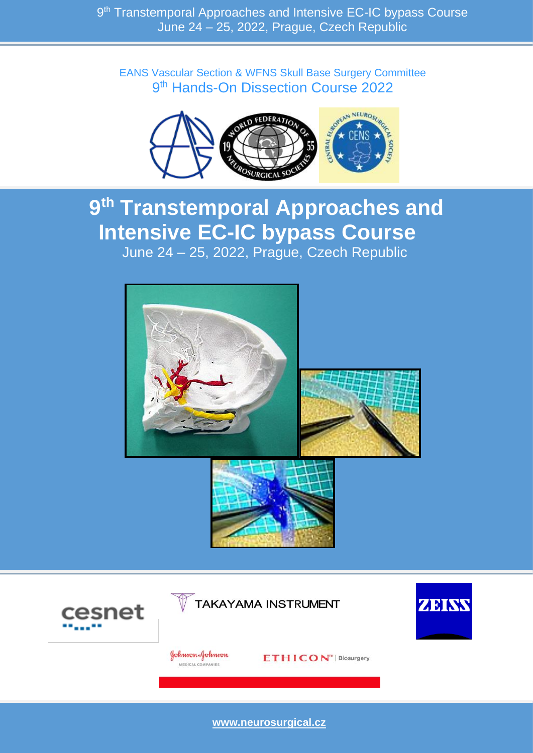EANS Vascular Section & WFNS Skull Base Surgery Committee 9<sup>th</sup> Hands-On Dissection Course 2022



# **9 th Transtemporal Approaches and Intensive EC-IC bypass Course** June 24 – 25, 2022, Prague, Czech Republic







**[www.neurosurgical.cz](http://www.neurosurgical.cz/)**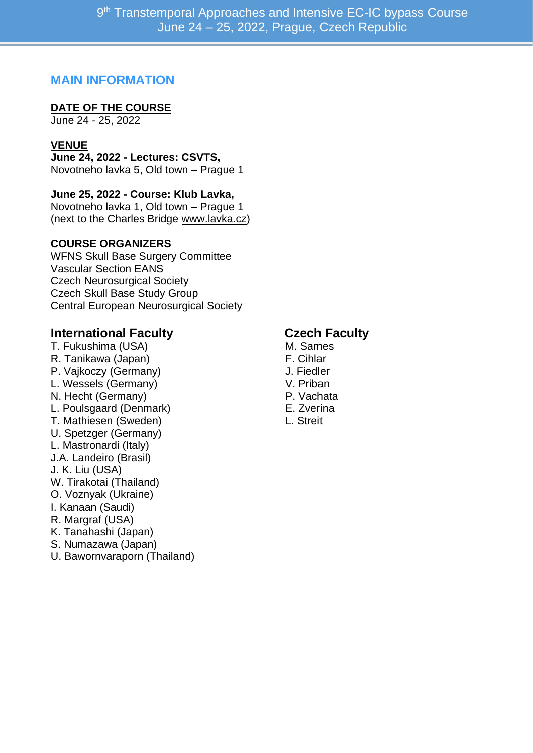#### **MAIN INFORMATION**

#### **DATE OF THE COURSE**

June 24 - 25, 2022

#### **VENUE**

**June 24, 2022 - Lectures: CSVTS,** Novotneho lavka 5, Old town – Prague 1

#### **June 25, 2022 - Course: Klub Lavka,**

Novotneho lavka 1, Old town – Prague 1 (next to the Charles Bridge [www.lavka.cz\)](http://www.lavka.cz/)

#### **COURSE ORGANIZERS**

WFNS Skull Base Surgery Committee Vascular Section EANS Czech Neurosurgical Society Czech Skull Base Study Group Central European Neurosurgical Society

#### **International Faculty Czech Faculty**

T. Fukushima (USA) M. Sames R. Tanikawa (Japan) F. Cihlar P. Vajkoczy (Germany) J. Fiedler L. Wessels (Germany) V. Priban N. Hecht (Germany) **P. Vachata** L. Poulsgaard (Denmark) E. Zverina T. Mathiesen (Sweden) L. Streit U. Spetzger (Germany) L. Mastronardi (Italy) J.A. Landeiro (Brasil) J. K. Liu (USA) W. Tirakotai (Thailand) O. Voznyak (Ukraine) I. Kanaan (Saudi) R. Margraf (USA) K. Tanahashi (Japan) S. Numazawa (Japan) U. Bawornvaraporn (Thailand)

- 
- 
- 
- 
- 
- 
-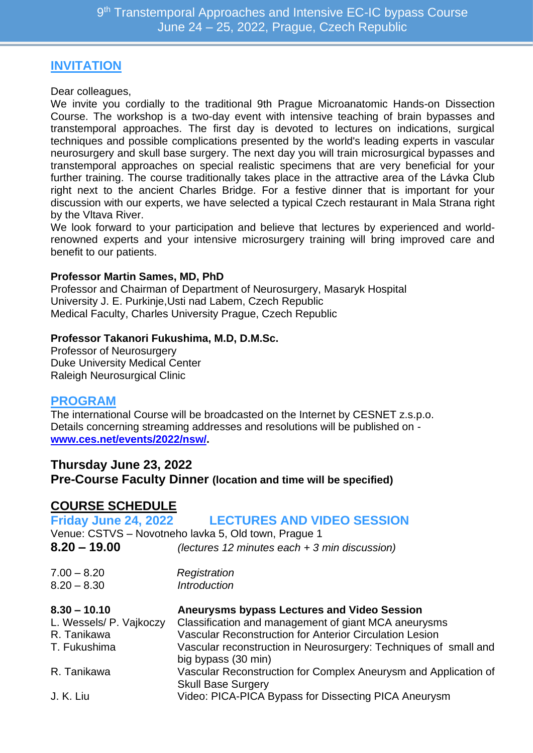### **INVITATION**

Dear colleagues,

We invite you cordially to the traditional 9th Prague Microanatomic Hands-on Dissection Course. The workshop is a two-day event with intensive teaching of brain bypasses and transtemporal approaches. The first day is devoted to lectures on indications, surgical techniques and possible complications presented by the world's leading experts in vascular neurosurgery and skull base surgery. The next day you will train microsurgical bypasses and transtemporal approaches on special realistic specimens that are very beneficial for your further training. The course traditionally takes place in the attractive area of the Lávka Club right next to the ancient Charles Bridge. For a festive dinner that is important for your discussion with our experts, we have selected a typical Czech restaurant in Mala Strana right by the Vltava River.

We look forward to your participation and believe that lectures by experienced and worldrenowned experts and your intensive microsurgery training will bring improved care and benefit to our patients.

#### **Professor Martin Sames, MD, PhD**

Professor and Chairman of Department of Neurosurgery, Masaryk Hospital University J. E. Purkinje,Usti nad Labem, Czech Republic Medical Faculty, Charles University Prague, Czech Republic

#### **Professor Takanori Fukushima, M.D, D.M.Sc.**

Professor of Neurosurgery Duke University Medical Center Raleigh Neurosurgical Clinic

#### **PROGRAM**

The international Course will be broadcasted on the Internet by CESNET z.s.p.o. Details concerning streaming addresses and resolutions will be published on **[www.ces.net/events/2022/nsw/.](http://www.ces.net/events/2022/nsw/)**

#### **Thursday June 23, 2022**

**Pre-Course Faculty Dinner (location and time will be specified)**

#### **COURSE SCHEDULE**

#### **Friday June 24, 2022 LECTURES AND VIDEO SESSION** Venue: CSTVS – Novotneho lavka 5, Old town, Prague 1 **8.20 – 19.00** *(lectures 12 minutes each + 3 min discussion)* 7.00 – 8.20 *Registration* 8.20 – 8.30 *Introduction* **8.30 – 10.10 Aneurysms bypass Lectures and Video Session** L. Wessels/ P. Vajkoczy Classification and management of giant MCA aneurysms R. Tanikawa Vascular Reconstruction for Anterior Circulation Lesion T. Fukushima Vascular reconstruction in Neurosurgery: Techniques of small and big bypass (30 min) R. Tanikawa Vascular Reconstruction for Complex Aneurysm and Application of Skull Base Surgery J. K. Liu Video: PICA-PICA Bypass for Dissecting PICA Aneurysm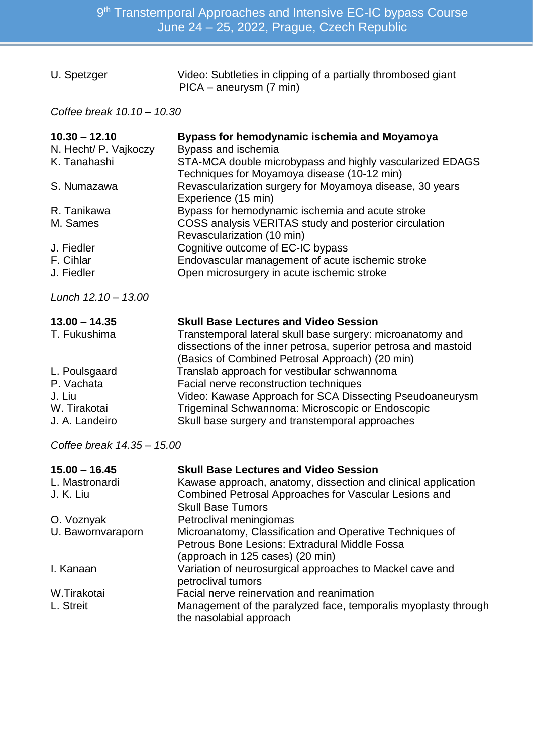| U. Spetzger | Video: Subtleties in clipping of a partially thrombosed giant |
|-------------|---------------------------------------------------------------|
|             | PICA – aneurysm (7 min)                                       |

*Coffee break 10.10 – 10.30*

| $10.30 - 12.10$<br>N. Hecht/ P. Vajkoczy<br>K. Tanahashi                | Bypass for hemodynamic ischemia and Moyamoya<br>Bypass and ischemia<br>STA-MCA double microbypass and highly vascularized EDAGS<br>Techniques for Moyamoya disease (10-12 min)                                                                           |  |  |  |
|-------------------------------------------------------------------------|----------------------------------------------------------------------------------------------------------------------------------------------------------------------------------------------------------------------------------------------------------|--|--|--|
| S. Numazawa                                                             | Revascularization surgery for Moyamoya disease, 30 years<br>Experience (15 min)                                                                                                                                                                          |  |  |  |
| R. Tanikawa<br>M. Sames                                                 | Bypass for hemodynamic ischemia and acute stroke<br>COSS analysis VERITAS study and posterior circulation<br>Revascularization (10 min)                                                                                                                  |  |  |  |
| J. Fiedler<br>F. Cihlar<br>J. Fiedler                                   | Cognitive outcome of EC-IC bypass<br>Endovascular management of acute ischemic stroke<br>Open microsurgery in acute ischemic stroke                                                                                                                      |  |  |  |
| Lunch $12.10 - 13.00$                                                   |                                                                                                                                                                                                                                                          |  |  |  |
| $13.00 - 14.35$<br>T. Fukushima                                         | <b>Skull Base Lectures and Video Session</b><br>Transtemporal lateral skull base surgery: microanatomy and<br>dissections of the inner petrosa, superior petrosa and mastoid<br>(Basics of Combined Petrosal Approach) (20 min)                          |  |  |  |
| L. Poulsgaard<br>P. Vachata<br>J. Liu<br>W. Tirakotai<br>J. A. Landeiro | Translab approach for vestibular schwannoma<br>Facial nerve reconstruction techniques<br>Video: Kawase Approach for SCA Dissecting Pseudoaneurysm<br>Trigeminal Schwannoma: Microscopic or Endoscopic<br>Skull base surgery and transtemporal approaches |  |  |  |
| Coffee break 14.35 - 15.00                                              |                                                                                                                                                                                                                                                          |  |  |  |

| $15.00 - 16.45$   | <b>Skull Base Lectures and Video Session</b>                                              |
|-------------------|-------------------------------------------------------------------------------------------|
| L. Mastronardi    | Kawase approach, anatomy, dissection and clinical application                             |
| J. K. Liu         | Combined Petrosal Approaches for Vascular Lesions and                                     |
|                   | <b>Skull Base Tumors</b>                                                                  |
| O. Voznyak        | Petroclival meningiomas                                                                   |
| U. Bawornvaraporn | Microanatomy, Classification and Operative Techniques of                                  |
|                   | Petrous Bone Lesions: Extradural Middle Fossa                                             |
|                   | (approach in 125 cases) (20 min)                                                          |
| I. Kanaan         | Variation of neurosurgical approaches to Mackel cave and                                  |
|                   | petroclival tumors                                                                        |
| W.Tirakotai       | Facial nerve reinervation and reanimation                                                 |
| L. Streit         | Management of the paralyzed face, temporalis myoplasty through<br>the nasolabial approach |
|                   |                                                                                           |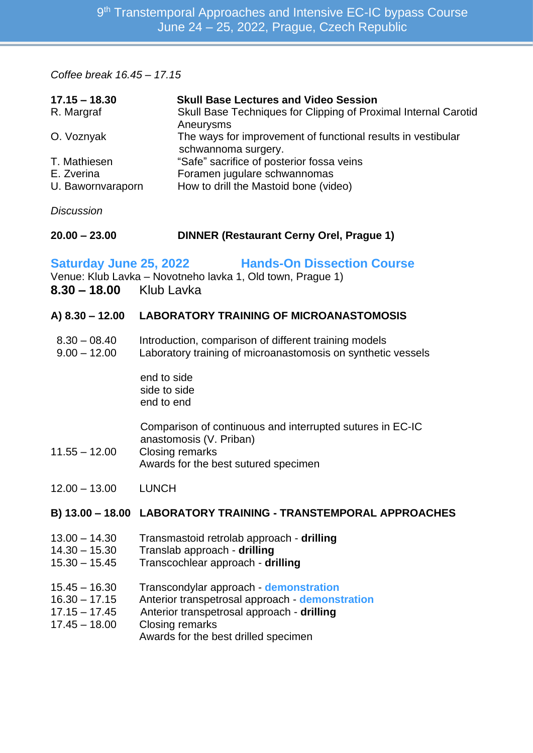*Coffee break 16.45 – 17.15*

| $17.15 - 18.30$<br>R. Margraf                                                                                                                               | <b>Skull Base Lectures and Video Session</b><br>Skull Base Techniques for Clipping of Proximal Internal Carotid<br>Aneurysms                                                                              |  |  |  |
|-------------------------------------------------------------------------------------------------------------------------------------------------------------|-----------------------------------------------------------------------------------------------------------------------------------------------------------------------------------------------------------|--|--|--|
| O. Voznyak                                                                                                                                                  | The ways for improvement of functional results in vestibular<br>schwannoma surgery.                                                                                                                       |  |  |  |
| T. Mathiesen<br>E. Zverina<br>U. Bawornvaraporn                                                                                                             | "Safe" sacrifice of posterior fossa veins<br>Foramen jugulare schwannomas<br>How to drill the Mastoid bone (video)                                                                                        |  |  |  |
| <b>Discussion</b>                                                                                                                                           |                                                                                                                                                                                                           |  |  |  |
| $20.00 - 23.00$                                                                                                                                             | <b>DINNER (Restaurant Cerny Orel, Prague 1)</b>                                                                                                                                                           |  |  |  |
| <b>Saturday June 25, 2022</b><br><b>Hands-On Dissection Course</b><br>Venue: Klub Lavka - Novotneho lavka 1, Old town, Prague 1)<br>8.30 - 18.00 Klub Lavka |                                                                                                                                                                                                           |  |  |  |
| A) 8.30 - 12.00                                                                                                                                             | <b>LABORATORY TRAINING OF MICROANASTOMOSIS</b>                                                                                                                                                            |  |  |  |
| $8.30 - 08.40$<br>$9.00 - 12.00$                                                                                                                            | Introduction, comparison of different training models<br>Laboratory training of microanastomosis on synthetic vessels                                                                                     |  |  |  |
|                                                                                                                                                             | end to side<br>side to side<br>end to end                                                                                                                                                                 |  |  |  |
| $11.55 - 12.00$                                                                                                                                             | Comparison of continuous and interrupted sutures in EC-IC<br>anastomosis (V. Priban)<br><b>Closing remarks</b><br>Awards for the best sutured specimen                                                    |  |  |  |
| $12.00 - 13.00$                                                                                                                                             | <b>LUNCH</b>                                                                                                                                                                                              |  |  |  |
|                                                                                                                                                             | B) 13.00 - 18.00 LABORATORY TRAINING - TRANSTEMPORAL APPROACHES                                                                                                                                           |  |  |  |
| $13.00 - 14.30$<br>$14.30 - 15.30$<br>$15.30 - 15.45$                                                                                                       | Transmastoid retrolab approach - drilling<br>Translab approach - drilling<br>Transcochlear approach - drilling                                                                                            |  |  |  |
| $15.45 - 16.30$<br>$16.30 - 17.15$<br>$17.15 - 17.45$<br>$17.45 - 18.00$                                                                                    | Transcondylar approach - demonstration<br>Anterior transpetrosal approach - demonstration<br>Anterior transpetrosal approach - drilling<br><b>Closing remarks</b><br>Awards for the best drilled specimen |  |  |  |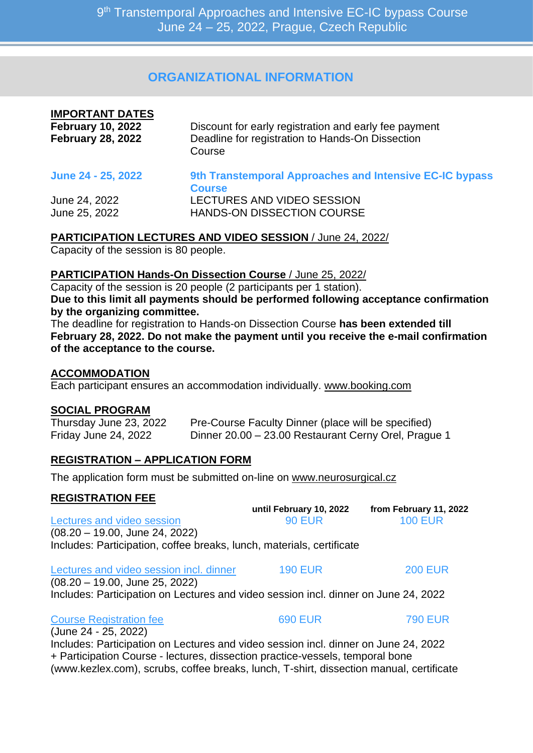9<sup>th</sup> Transtemporal Approaches and Intensive EC-IC bypass Course June 24 – 25, 2022, Prague, Czech Republic

#### **ORGANIZATIONAL INFORMATION**

| <b>IMPORTANT DATES</b><br><b>February 10, 2022</b><br><b>February 28, 2022</b> | Discount for early registration and early fee payment<br>Deadline for registration to Hands-On Dissection<br>Course |
|--------------------------------------------------------------------------------|---------------------------------------------------------------------------------------------------------------------|
| June 24 - 25, 2022                                                             | 9th Transtemporal Approaches and Intensive EC-IC bypass<br><b>Course</b>                                            |
| June 24, 2022                                                                  | LECTURES AND VIDEO SESSION                                                                                          |
| June 25, 2022                                                                  | HANDS-ON DISSECTION COURSE                                                                                          |

**PARTICIPATION LECTURES AND VIDEO SESSION** / June 24, 2022/

Capacity of the session is 80 people.

#### **PARTICIPATION Hands-On Dissection Course** / June 25, 2022/

Capacity of the session is 20 people (2 participants per 1 station). **Due to this limit all payments should be performed following acceptance confirmation by the organizing committee.** 

The deadline for registration to Hands-on Dissection Course **has been extended till February 28, 2022. Do not make the payment until you receive the e-mail confirmation of the acceptance to the course.**

#### **ACCOMMODATION**

Each participant ensures an accommodation individually. [www.booking.com](http://www.booking.com/)

#### **SOCIAL PROGRAM**

Thursday June 23, 2022 Pre-Course Faculty Dinner (place will be specified) Friday June 24, 2022 Dinner 20.00 – 23.00 Restaurant Cerny Orel, Prague 1

#### **REGISTRATION – APPLICATION FORM**

The application form must be submitted on-line on [www.neurosurgical.cz](http://www.neurosurgical.cz/)

#### **REGISTRATION FEE**

|                                                                                     | until February 10, 2022 | from February 11, 2022 |
|-------------------------------------------------------------------------------------|-------------------------|------------------------|
| Lectures and video session                                                          | <b>90 EUR</b>           | <b>100 EUR</b>         |
| $(08.20 - 19.00, June 24, 2022)$                                                    |                         |                        |
| Includes: Participation, coffee breaks, lunch, materials, certificate               |                         |                        |
| Lectures and video session incl. dinner                                             | <b>190 EUR</b>          | <b>200 EUR</b>         |
| (08.20 - 19.00, June 25, 2022)                                                      |                         |                        |
| Includes: Participation on Lectures and video session incl. dinner on June 24, 2022 |                         |                        |
|                                                                                     |                         |                        |

Course Registration fee 690 EUR 790 EUR (June 24 - 25, 2022) Includes: Participation on Lectures and video session incl. dinner on June 24, 2022 + Participation Course - lectures, dissection practice-vessels, temporal bone (www.kezlex.com), scrubs, coffee breaks, lunch, T-shirt, dissection manual, certificate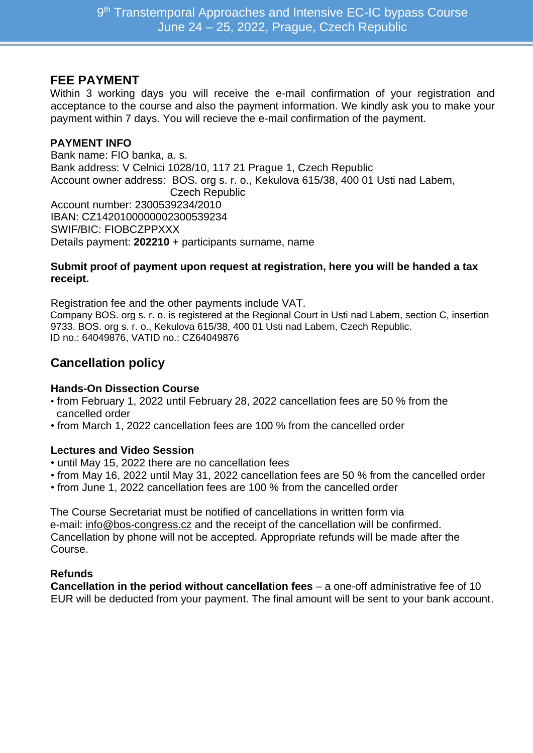#### **FEE PAYMENT**

Within 3 working days you will receive the e-mail confirmation of your registration and acceptance to the course and also the payment information. We kindly ask you to make your payment within 7 days. You will recieve the e-mail confirmation of the payment.

#### **PAYMENT INFO**

Bank name: FIO banka, a. s. Bank address: V Celnici 1028/10, 117 21 Prague 1, Czech Republic Account owner address: BOS. org s. r. o., Kekulova 615/38, 400 01 Usti nad Labem, Czech Republic Account number: 2300539234/2010 IBAN: CZ1420100000002300539234 SWIF/BIC: FIOBCZPPXXX Details payment: **202210** + participants surname, name

#### **Submit proof of payment upon request at registration, here you will be handed a tax receipt.**

Registration fee and the other payments include VAT. Company BOS. org s. r. o. is registered at the Regional Court in Usti nad Labem, section C, insertion 9733. BOS. org s. r. o., Kekulova 615/38, 400 01 Usti nad Labem, Czech Republic. ID no.: 64049876, VATID no.: CZ64049876

#### **Cancellation policy**

#### **Hands-On Dissection Course**

- from February 1, 2022 until February 28, 2022 cancellation fees are 50 % from the cancelled order
- from March 1, 2022 cancellation fees are 100 % from the cancelled order

#### **Lectures and Video Session**

- until May 15, 2022 there are no cancellation fees
- from May 16, 2022 until May 31, 2022 cancellation fees are 50 % from the cancelled order
- from June 1, 2022 cancellation fees are 100 % from the cancelled order

The Course Secretariat must be notified of cancellations in written form via e-mail: [info@bos-congress.cz](mailto:info@bos-congress.cz) and the receipt of the cancellation will be confirmed. Cancellation by phone will not be accepted. Appropriate refunds will be made after the Course.

#### **Refunds**

**Cancellation in the period without cancellation fees** – a one-off administrative fee of 10 EUR will be deducted from your payment. The final amount will be sent to your bank account.